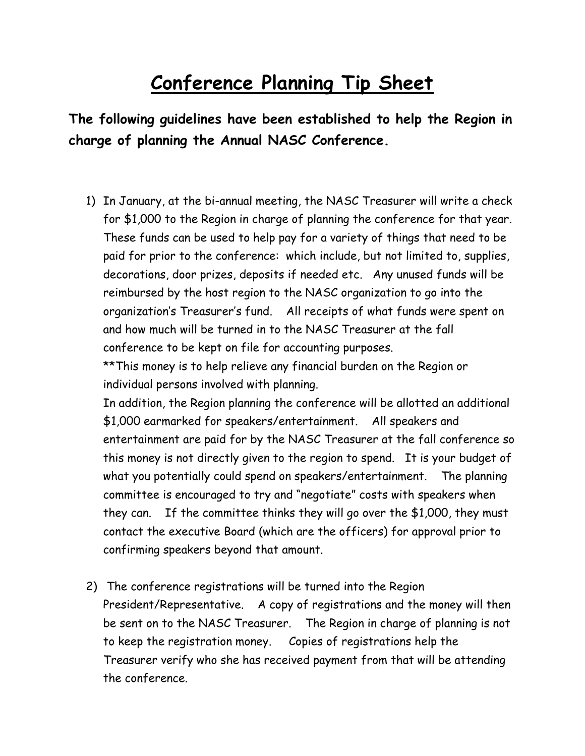## **Conference Planning Tip Sheet**

**The following guidelines have been established to help the Region in charge of planning the Annual NASC Conference.**

1) In January, at the bi-annual meeting, the NASC Treasurer will write a check for \$1,000 to the Region in charge of planning the conference for that year. These funds can be used to help pay for a variety of things that need to be paid for prior to the conference: which include, but not limited to, supplies, decorations, door prizes, deposits if needed etc. Any unused funds will be reimbursed by the host region to the NASC organization to go into the organization's Treasurer's fund. All receipts of what funds were spent on and how much will be turned in to the NASC Treasurer at the fall conference to be kept on file for accounting purposes.

\*\*This money is to help relieve any financial burden on the Region or individual persons involved with planning.

In addition, the Region planning the conference will be allotted an additional \$1,000 earmarked for speakers/entertainment. All speakers and entertainment are paid for by the NASC Treasurer at the fall conference so this money is not directly given to the region to spend. It is your budget of what you potentially could spend on speakers/entertainment. The planning committee is encouraged to try and "negotiate" costs with speakers when they can. If the committee thinks they will go over the \$1,000, they must contact the executive Board (which are the officers) for approval prior to confirming speakers beyond that amount.

2) The conference registrations will be turned into the Region President/Representative. A copy of registrations and the money will then be sent on to the NASC Treasurer. The Region in charge of planning is not to keep the registration money. Copies of registrations help the Treasurer verify who she has received payment from that will be attending the conference.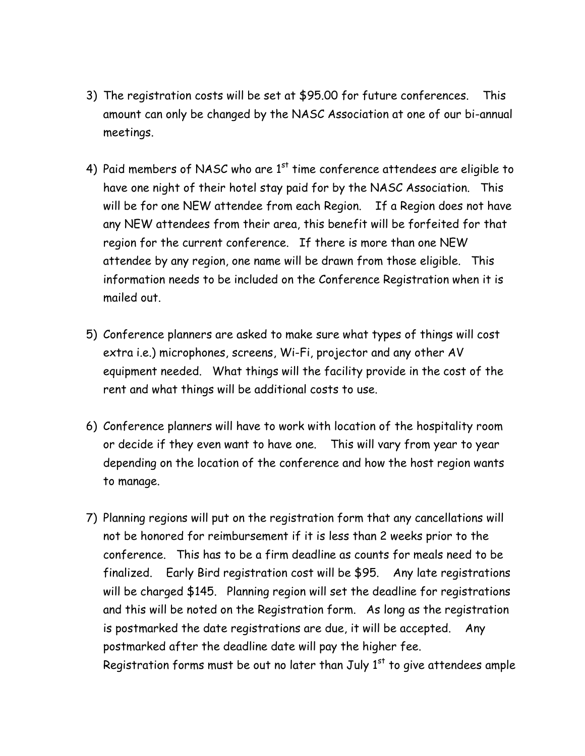- 3) The registration costs will be set at \$95.00 for future conferences. This amount can only be changed by the NASC Association at one of our bi-annual meetings.
- 4) Paid members of NASC who are  $1<sup>st</sup>$  time conference attendees are eligible to have one night of their hotel stay paid for by the NASC Association. This will be for one NEW attendee from each Region. If a Region does not have any NEW attendees from their area, this benefit will be forfeited for that region for the current conference. If there is more than one NEW attendee by any region, one name will be drawn from those eligible. This information needs to be included on the Conference Registration when it is mailed out.
- 5) Conference planners are asked to make sure what types of things will cost extra i.e.) microphones, screens, Wi-Fi, projector and any other AV equipment needed. What things will the facility provide in the cost of the rent and what things will be additional costs to use.
- 6) Conference planners will have to work with location of the hospitality room or decide if they even want to have one. This will vary from year to year depending on the location of the conference and how the host region wants to manage.
- 7) Planning regions will put on the registration form that any cancellations will not be honored for reimbursement if it is less than 2 weeks prior to the conference. This has to be a firm deadline as counts for meals need to be finalized. Early Bird registration cost will be \$95. Any late registrations will be charged \$145. Planning region will set the deadline for registrations and this will be noted on the Registration form. As long as the registration is postmarked the date registrations are due, it will be accepted. Any postmarked after the deadline date will pay the higher fee. Registration forms must be out no later than July  $1<sup>st</sup>$  to give attendees ample